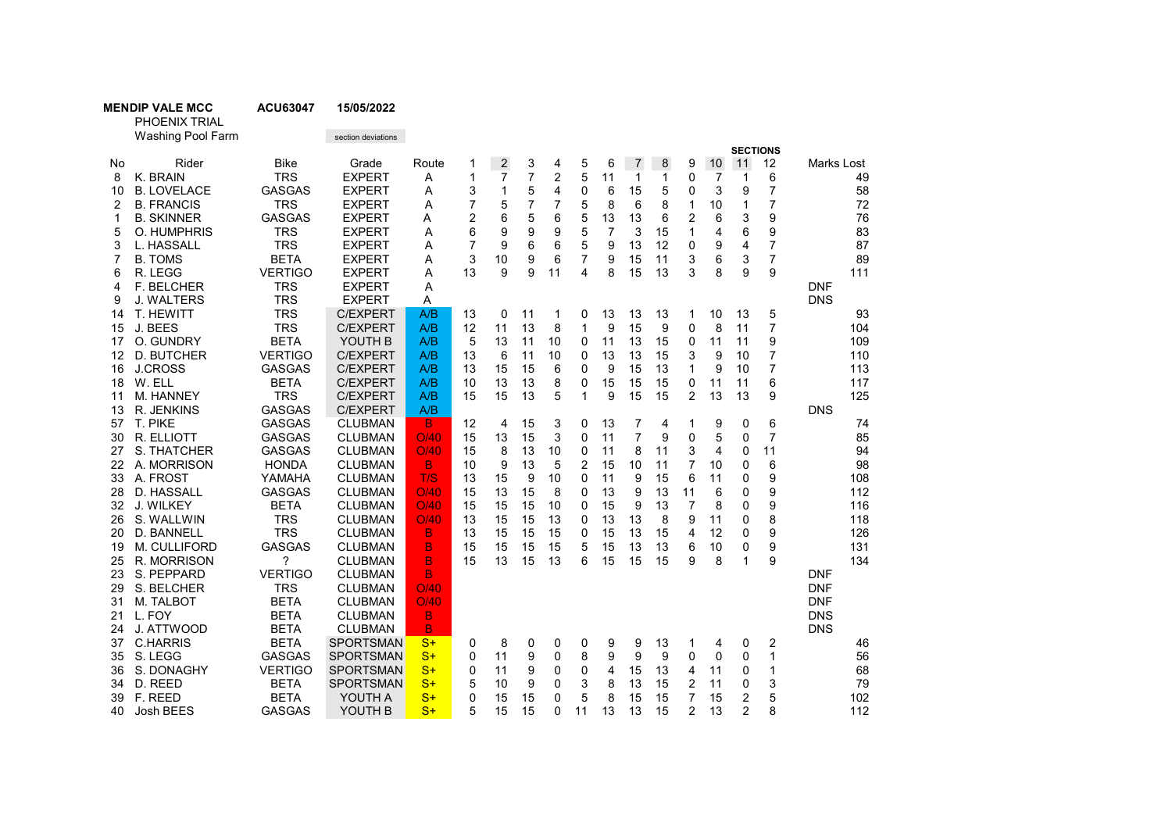| <b>MENDIP VALE MO</b> |  |  |
|-----------------------|--|--|
|-----------------------|--|--|

CC ACU63047 15/05/2022

PHOENIX TRIAL Washing Pool Farm section deviations **SECTIONS** No Rider Bike Grade Route 1 2 3 4 5 6 7 8 9 10 11 12 Marks Lost 8 K. BRAIN TRS EXPERT A 1 7 7 2 5 11 1 1 0 7 1 6 49 10 B. LOVELACE GASGAS EXPERT A 3 1 5 4 0 6 15 5 0 3 9 7 58 2 B. FRANCIS TRS EXPERT A 7 5 7 7 5 8 6 8 1 10 1 7 72 1 B. SKINNER GASGAS EXPERT A 2 6 5 6 5 13 13 6 2 6 3 9 76 5 O. HUMPHRIS TRS EXPERT A 6 9 9 9 5 7 3 15 1 4 6 9 83 3 L. HASSALL TRS EXPERT A 7 9 6 6 5 9 13 12 0 9 4 7 87 7 B. TOMS BETA EXPERT A 3 10 9 6 7 9 15 11 3 6 3 7 89 6 R. LEGG VERTIGO EXPERT A 13 9 9 11 4 8 15 13 3 8 9 9 111 4 F. BELCHER TRS EXPERT A DNF 9 J. WALTERS TRS EXPERT A DNS 14 T. HEWITT TRS C/EXPERT A/B 13 0 11 1 0 13 13 13 1 10 13 5 93 15 J. BEES TRS C/EXPERT A/B 12 11 13 8 1 9 15 9 0 8 11 7 104 17 O. GUNDRY BETA YOUTH B A/B 5 13 11 10 0 11 13 15 0 11 11 9 109 12 D. BUTCHER VERTIGO C/EXPERT A/B 13 6 11 10 0 13 13 15 3 9 10 7 110 16 J.CROSS GASGAS C/EXPERT A/B 13 15 15 6 0 9 15 13 1 9 10 7 113 18 W. ELL BETA C/EXPERT A/B 10 13 13 8 0 15 15 15 0 11 11 6 117 11 M. HANNEY TRS C/EXPERT A/B 15 15 13 5 1 9 15 15 2 13 13 9 125 13 R. JENKINS GASGAS C/EXPERT A/B DNS 57 T. PIKE GASGAS CLUBMAN <mark> B </mark> 12 4 15 3 0 13 7 4 1 9 0 6 74 30 R. ELLIOTT GASGAS CLUBMAN O/40 15 13 15 3 0 11 7 9 0 5 0 7 85 27 S. THATCHER GASGAS CLUBMAN O/40 15 8 13 10 0 11 8 11 3 4 0 11 94 22 A. MORRISON HONDA CLUBMAN B 10 9 13 5 2 15 10 11 7 10 0 6 98 33 A. FROST YAMAHA CLUBMAN <mark> T/S </mark> 13 15 9 10 0 11 9 15 6 11 0 9 108 28 D. HASSALL GASGAS CLUBMAN O/40 15 13 15 8 0 13 9 13 11 6 0 9 112 32 J. WILKEY BETA CLUBMAN <mark> O/40 </mark> 15 15 10 0 15 9 13 7 8 0 9 116 26 S. WALLWIN TRS CLUBMAN <mark> O/40 </mark> 13 15 13 0 13 13 8 9 11 0 8 118 20 D. BANNELL TRS CLUBMAN B 13 15 15 15 0 15 13 15 4 12 0 9 126 19 M. CULLIFORD GASGAS CLUBMAN B 15 15 15 15 5 15 13 13 6 10 0 9 131 25 R. MORRISON ? CLUBMAN B 15 13 15 13 6 15 15 15 9 8 1 9 134 23 S. PEPPARD VERTIGO CLUBMAN B DO CONTACT CONTACT ON THE DISTURSE ON THE DISTURSE ON THE DISTURSE ON THE DISTURSE ON THE DISTURSE ON THE DISTURSE ON THE DISTURSE ON THE DISTURSE ON THE DISTURSE ON THE DISTURSE ON THE DIST 29 S. BELCHER TRS CLUBMAN O/40 DNF 31 M. TALBOT BETA CLUBMAN <mark> O/40</mark> DNF 21 L. FOY BETA CLUBMAN B DNS 24 J. ATTWOOD BETA CLUBMAN B DNS 37 C.HARRIS BETA SPORTSMAN S+ 0 8 0 0 0 9 9 13 1 4 0 2 46 35 S. LEGG GASGAS SPORTSMAN<mark> S+ </mark> 0 11 9 0 8 9 9 9 0 0 0 1 56 36 S. DONAGHY VERTIGO SPORTSMAN S+ 0 11 9 0 0 4 15 13 4 11 0 1 68 34 D. REED BETA SPORTSMAN<mark> S+ </mark> 5 10 9 0 3 8 13 15 2 11 0 3 79 39 F. REED BETA YOUTH A <mark>S+ </mark> 0 15 15 0 5 8 15 15 7 15 2 5 102 40 Josh BEES GASGAS YOUTH B <mark> S+ </mark> 5 15 15 0 11 13 13 15 2 13 2 8 112